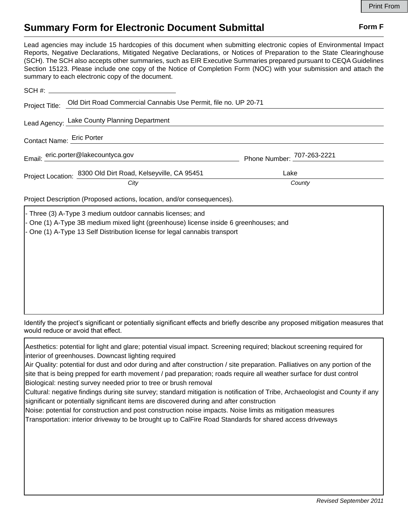## **Summary Form for Electronic Document Submittal Form F Form F**

Lead agencies may include 15 hardcopies of this document when submitting electronic copies of Environmental Impact Reports, Negative Declarations, Mitigated Negative Declarations, or Notices of Preparation to the State Clearinghouse (SCH). The SCH also accepts other summaries, such as EIR Executive Summaries prepared pursuant to CEQA Guidelines Section 15123. Please include one copy of the Notice of Completion Form (NOC) with your submission and attach the summary to each electronic copy of the document.

|                                     | Project Title: Old Dirt Road Commercial Cannabis Use Permit, file no. UP 20-71 |                            |
|-------------------------------------|--------------------------------------------------------------------------------|----------------------------|
|                                     | Lead Agency: Lake County Planning Department                                   |                            |
| Contact Name: Eric Porter           |                                                                                |                            |
| Email: eric.porter@lakecountyca.gov |                                                                                | Phone Number: 707-263-2221 |
|                                     | Project Location: 8300 Old Dirt Road, Kelseyville, CA 95451                    | Lake                       |
|                                     | City                                                                           | County                     |

Project Description (Proposed actions, location, and/or consequences).

Three (3) A-Type 3 medium outdoor cannabis licenses; and - One (1) A-Type 3B medium mixed light (greenhouse) license inside 6 greenhouses; and - One (1) A-Type 13 Self Distribution license for legal cannabis transport

Identify the project's significant or potentially significant effects and briefly describe any proposed mitigation measures that would reduce or avoid that effect.

Aesthetics: potential for light and glare; potential visual impact. Screening required; blackout screening required for interior of greenhouses. Downcast lighting required

Air Quality: potential for dust and odor during and after construction / site preparation. Palliatives on any portion of the site that is being prepped for earth movement / pad preparation; roads require all weather surface for dust control Biological: nesting survey needed prior to tree or brush removal

Cultural: negative findings during site survey; standard mitigation is notification of Tribe, Archaeologist and County if any significant or potentially significant items are discovered during and after construction

Noise: potential for construction and post construction noise impacts. Noise limits as mitigation measures Transportation: interior driveway to be brought up to CalFire Road Standards for shared access driveways